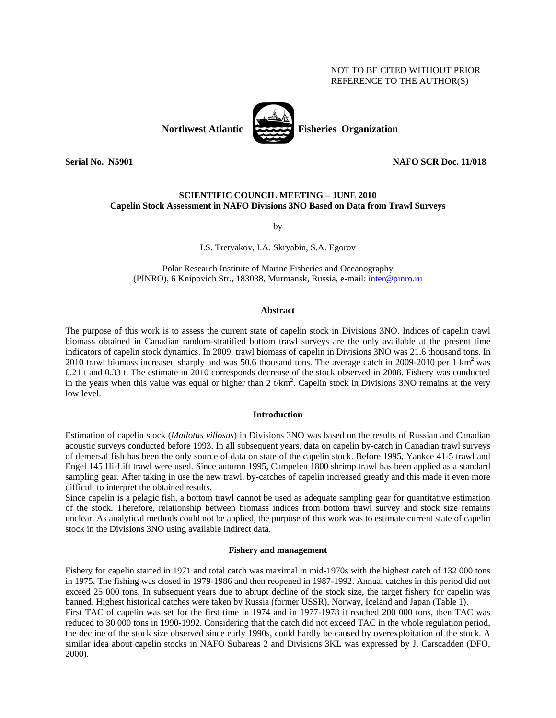# NOT TO BE CITED WITHOUT PRIOR REFERENCE TO THE AUTHOR(S)



# **Serial No. 3.5901 2.1.1.018 2.1.1.018 2.1.1.018 2.1.1.018 2.1.1.018 2.1.1.018 2.1.1.018 2.1.1.018 2.1.1.018 2.1.1.018**

# **SCIENTIFIC COUNCIL MEETING – JUNE 2010 Capelin Stock Assessment in NAFO Divisions 3NO Based on Data from Trawl Surveys**

by

# I.S. Tretyakov, I.A. Skryabin, S.A. Egorov

Polar Research Institute of Marine Fisheries and Oceanography (PINRO), 6 Knipovich Str., 183038, Murmansk, Russia, e-mail: *inter@pinro.ru* 

### **Abstract**

The purpose of this work is to assess the current state of capelin stock in Divisions 3NO. Indices of capelin trawl biomass obtained in Canadian random-stratified bottom trawl surveys are the only available at the present time indicators of capelin stock dynamics. In 2009, trawl biomass of capelin in Divisions 3NO was 21.6 thousand tons. In 2010 trawl biomass increased sharply and was 50.6 thousand tons. The average catch in 2009-2010 per 1  $\text{km}^2$  was 0.21 t and 0.33 t. The estimate in 2010 corresponds decrease of the stock observed in 2008. Fishery was conducted in the years when this value was equal or higher than 2  $t/km^2$ . Capelin stock in Divisions 3NO remains at the very low level.

### **Introduction**

Estimation of capelin stock (*Mallotus villosus*) in Divisions 3NO was based on the results of Russian and Canadian acoustic surveys conducted before 1993. In all subsequent years, data on capelin by-catch in Canadian trawl surveys of demersal fish has been the only source of data on state of the capelin stock. Before 1995, Yankee 41-5 trawl and Engel 145 Hi-Lift trawl were used. Since autumn 1995, Campelen 1800 shrimp trawl has been applied as a standard sampling gear. After taking in use the new trawl, by-catches of capelin increased greatly and this made it even more difficult to interpret the obtained results.

Since capelin is a pelagic fish, a bottom trawl cannot be used as adequate sampling gear for quantitative estimation of the stock. Therefore, relationship between biomass indices from bottom trawl survey and stock size remains unclear. As analytical methods could not be applied, the purpose of this work was to estimate current state of capelin stock in the Divisions 3NO using available indirect data.

### **Fishery and management**

Fishery for capelin started in 1971 and total catch was maximal in mid-1970s with the highest catch of 132 000 tons in 1975. The fishing was closed in 1979-1986 and then reopened in 1987-1992. Annual catches in this period did not exceed 25 000 tons. In subsequent years due to abrupt decline of the stock size, the target fishery for capelin was banned. Highest historical catches were taken by Russia (former USSR), Norway, Iceland and Japan (Table 1). First TAC of capelin was set for the first time in 1974 and in 1977-1978 it reached 200 000 tons, then TAC was

reduced to 30 000 tons in 1990-1992. Considering that the catch did not exceed TAC in the whole regulation period, the decline of the stock size observed since early 1990s, could hardly be caused by overexploitation of the stock. A similar idea about capelin stocks in NAFO Subareas 2 and Divisions 3KL was expressed by J. Carscadden (DFO, 2000).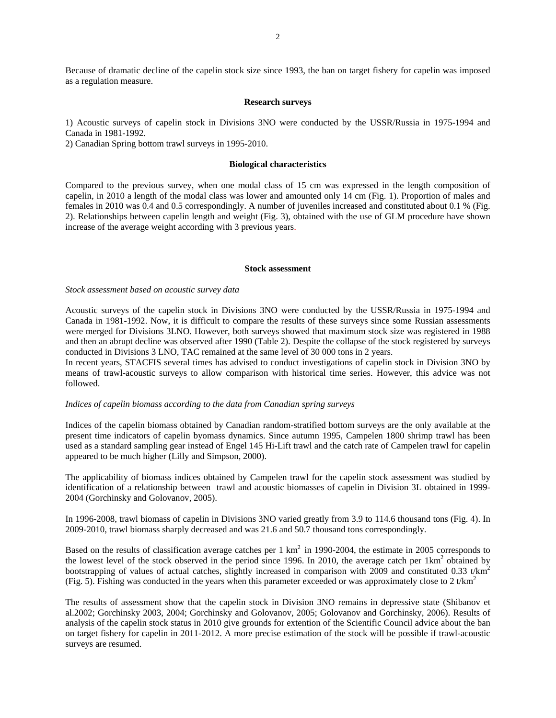Because of dramatic decline of the capelin stock size since 1993, the ban on target fishery for capelin was imposed as a regulation measure.

#### **Research surveys**

1) Acoustic surveys of capelin stock in Divisions 3NO were conducted by the USSR/Russia in 1975-1994 and Canada in 1981-1992.

2) Canadian Spring bottom trawl surveys in 1995-2010.

# **Biological characteristics**

Compared to the previous survey, when one modal class of 15 cm was expressed in the length composition of capelin, in 2010 a length of the modal class was lower and amounted only 14 cm (Fig. 1). Proportion of males and females in 2010 was 0.4 and 0.5 correspondingly. A number of juveniles increased and constituted about 0.1 % (Fig. 2). Relationships between capelin length and weight (Fig. 3), obtained with the use of GLM procedure have shown increase of the average weight according with 3 previous years.

## **Stock assessment**

*Stock assessment based on acoustic survey data* 

Acoustic surveys of the capelin stock in Divisions 3NO were conducted by the USSR/Russia in 1975-1994 and Canada in 1981-1992. Now, it is difficult to compare the results of these surveys since some Russian assessments were merged for Divisions 3LNO. However, both surveys showed that maximum stock size was registered in 1988 and then an abrupt decline was observed after 1990 (Table 2). Despite the collapse of the stock registered by surveys conducted in Divisions 3 LNO, TAC remained at the same level of 30 000 tons in 2 years.

In recent years, STACFIS several times has advised to conduct investigations of capelin stock in Division 3NO by means of trawl-acoustic surveys to allow comparison with historical time series. However, this advice was not followed.

### *Indices of capelin biomass according to the data from Canadian spring surveys*

Indices of the capelin biomass obtained by Canadian random-stratified bottom surveys are the only available at the present time indicators of capelin byomass dynamics. Since autumn 1995, Campelen 1800 shrimp trawl has been used as a standard sampling gear instead of Engel 145 Hi-Lift trawl and the catch rate of Campelen trawl for capelin appeared to be much higher (Lilly and Simpson, 2000).

The applicability of biomass indices obtained by Campelen trawl for the capelin stock assessment was studied by identification of a relationship between trawl and acoustic biomasses of capelin in Division 3L obtained in 1999- 2004 (Gorchinsky and Golovanov, 2005).

In 1996-2008, trawl biomass of capelin in Divisions 3NO varied greatly from 3.9 to 114.6 thousand tons (Fig. 4). In 2009-2010, trawl biomass sharply decreased and was 21.6 and 50.7 thousand tons correspondingly.

Based on the results of classification average catches per  $1 \text{ km}^2$  in 1990-2004, the estimate in 2005 corresponds to the lowest level of the stock observed in the period since 1996. In 2010, the average catch per  $1 \text{km}^2$  obtained by bootstrapping of values of actual catches, slightly increased in comparison with 2009 and constituted 0.33 t/km<sup>2</sup> (Fig. 5). Fishing was conducted in the years when this parameter exceeded or was approximately close to 2  $t/km<sup>2</sup>$ 

The results of assessment show that the capelin stock in Division 3NO remains in depressive state (Shibanov et al.2002; Gorchinsky 2003, 2004; Gorchinsky and Golovanov, 2005; Golovanov and Gorchinsky, 2006). Results of analysis of the capelin stock status in 2010 give grounds for extention of the Scientific Council advice about the ban on target fishery for capelin in 2011-2012. A more precise estimation of the stock will be possible if trawl-acoustic surveys are resumed.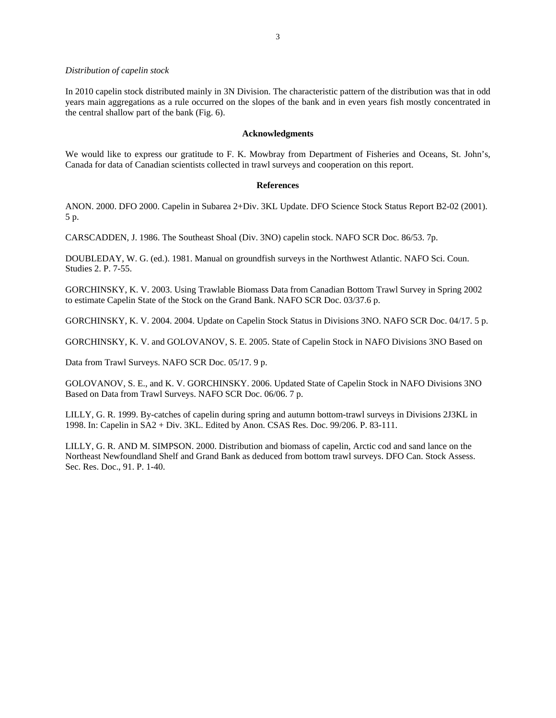### *Distribution of capelin stock*

In 2010 capelin stock distributed mainly in 3N Division. The characteristic pattern of the distribution was that in odd years main aggregations as a rule occurred on the slopes of the bank and in even years fish mostly concentrated in the central shallow part of the bank (Fig. 6).

# **Acknowledgments**

We would like to express our gratitude to F. K. Mowbray from Department of Fisheries and Oceans, St. John's, Canada for data of Canadian scientists collected in trawl surveys and cooperation on this report.

# **References**

ANON. 2000. DFO 2000. Capelin in Subarea 2+Div. 3KL Update. DFO Science Stock Status Report B2-02 (2001). 5 p.

CARSCADDEN, J. 1986. The Southeast Shoal (Div. 3NO) capelin stock. NAFO SCR Doc. 86/53. 7p.

DOUBLEDAY, W. G. (ed.). 1981. Manual on groundfish surveys in the Northwest Atlantic. NAFO Sci. Coun. Studies 2. P. 7-55.

GORCHINSKY, K. V. 2003. Using Trawlable Biomass Data from Canadian Bottom Trawl Survey in Spring 2002 to estimate Capelin State of the Stock on the Grand Bank. NAFO SCR Doc. 03/37.6 p.

GORCHINSKY, K. V. 2004. 2004. Update on Capelin Stock Status in Divisions 3NO. NAFO SCR Doc. 04/17. 5 p.

GORCHINSKY, K. V. and GOLOVANOV, S. E. 2005. State of Capelin Stock in NAFO Divisions 3NO Based on

Data from Trawl Surveys. NAFO SCR Doc. 05/17. 9 p.

GOLOVANOV, S. E., and K. V. GORCHINSKY. 2006. Updated State of Capelin Stock in NAFO Divisions 3NO Based on Data from Trawl Surveys. NAFO SCR Doc. 06/06. 7 p.

LILLY, G. R. 1999. By-catches of capelin during spring and autumn bottom-trawl surveys in Divisions 2J3KL in 1998. In: Capelin in SA2 + Div. 3KL. Edited by Anon. CSAS Res. Doc. 99/206. P. 83-111.

LILLY, G. R. AND M. SIMPSON. 2000. Distribution and biomass of capelin, Arctic cod and sand lance on the Northeast Newfoundland Shelf and Grand Bank as deduced from bottom trawl surveys. DFO Can. Stock Assess. Sec. Res. Doc., 91. P. 1-40.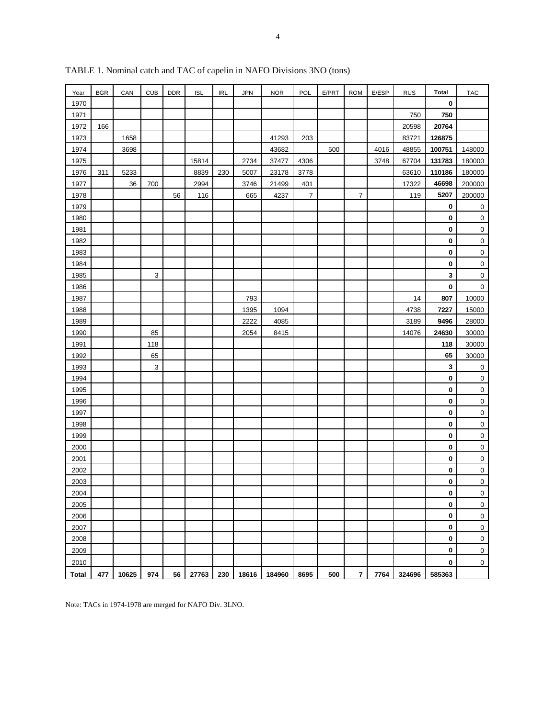| Year         | <b>BGR</b> | CAN   | <b>CUB</b> | <b>DDR</b> | <b>ISL</b> | <b>IRL</b> | <b>JPN</b> | <b>NOR</b> | <b>POL</b>     | E/PRT | <b>ROM</b>     | E/ESP | <b>RUS</b> | Total       | <b>TAC</b>          |
|--------------|------------|-------|------------|------------|------------|------------|------------|------------|----------------|-------|----------------|-------|------------|-------------|---------------------|
| 1970         |            |       |            |            |            |            |            |            |                |       |                |       |            | $\pmb{0}$   |                     |
| 1971         |            |       |            |            |            |            |            |            |                |       |                |       | 750        | 750         |                     |
| 1972         | 166        |       |            |            |            |            |            |            |                |       |                |       | 20598      | 20764       |                     |
| 1973         |            | 1658  |            |            |            |            |            | 41293      | 203            |       |                |       | 83721      | 126875      |                     |
| 1974         |            | 3698  |            |            |            |            |            | 43682      |                | 500   |                | 4016  | 48855      | 100751      | 148000              |
| 1975         |            |       |            |            | 15814      |            | 2734       | 37477      | 4306           |       |                | 3748  | 67704      | 131783      | 180000              |
| 1976         | 311        | 5233  |            |            | 8839       | 230        | 5007       | 23178      | 3778           |       |                |       | 63610      | 110186      | 180000              |
| 1977         |            | 36    | 700        |            | 2994       |            | 3746       | 21499      | 401            |       |                |       | 17322      | 46698       | 200000              |
| 1978         |            |       |            | 56         | 116        |            | 665        | 4237       | $\overline{7}$ |       | $\overline{7}$ |       | 119        | 5207        | 200000              |
| 1979         |            |       |            |            |            |            |            |            |                |       |                |       |            | $\pmb{0}$   | $\pmb{0}$           |
| 1980         |            |       |            |            |            |            |            |            |                |       |                |       |            | $\pmb{0}$   | $\mathsf 0$         |
| 1981         |            |       |            |            |            |            |            |            |                |       |                |       |            | $\pmb{0}$   | $\mathsf 0$         |
| 1982         |            |       |            |            |            |            |            |            |                |       |                |       |            | $\pmb{0}$   | $\mathsf 0$         |
| 1983         |            |       |            |            |            |            |            |            |                |       |                |       |            | $\pmb{0}$   | $\mathbf 0$         |
| 1984         |            |       |            |            |            |            |            |            |                |       |                |       |            | $\pmb{0}$   | $\pmb{0}$           |
| 1985         |            |       | 3          |            |            |            |            |            |                |       |                |       |            | 3           | $\mathbf 0$         |
| 1986         |            |       |            |            |            |            |            |            |                |       |                |       |            | $\pmb{0}$   | $\mathbf 0$         |
| 1987         |            |       |            |            |            |            | 793        |            |                |       |                |       | 14         | 807         | 10000               |
| 1988         |            |       |            |            |            |            | 1395       | 1094       |                |       |                |       | 4738       | 7227        | 15000               |
| 1989         |            |       |            |            |            |            | 2222       | 4085       |                |       |                |       | 3189       | 9496        | 28000               |
| 1990         |            |       | 85         |            |            |            | 2054       | 8415       |                |       |                |       | 14076      | 24630       | 30000               |
| 1991         |            |       | 118        |            |            |            |            |            |                |       |                |       |            | 118         | 30000               |
| 1992         |            |       | 65         |            |            |            |            |            |                |       |                |       |            | 65          | 30000               |
| 1993         |            |       | 3          |            |            |            |            |            |                |       |                |       |            | $\mathbf 3$ | $\bf{0}$            |
| 1994         |            |       |            |            |            |            |            |            |                |       |                |       |            | $\pmb{0}$   | $\mathbf 0$         |
| 1995         |            |       |            |            |            |            |            |            |                |       |                |       |            | $\pmb{0}$   | $\mathbf 0$         |
| 1996         |            |       |            |            |            |            |            |            |                |       |                |       |            | $\pmb{0}$   | $\mathbf 0$         |
| 1997         |            |       |            |            |            |            |            |            |                |       |                |       |            | $\pmb{0}$   | $\mathbf 0$         |
| 1998         |            |       |            |            |            |            |            |            |                |       |                |       |            | $\pmb{0}$   | $\overline{0}$      |
| 1999         |            |       |            |            |            |            |            |            |                |       |                |       |            | $\pmb{0}$   | $\mathbf 0$         |
| 2000         |            |       |            |            |            |            |            |            |                |       |                |       |            | $\pmb{0}$   | $\pmb{0}$           |
| 2001         |            |       |            |            |            |            |            |            |                |       |                |       |            | $\pmb{0}$   | $\mathsf 0$         |
| 2002         |            |       |            |            |            |            |            |            |                |       |                |       |            | 0           | $\mathbf 0$         |
| 2003         |            |       |            |            |            |            |            |            |                |       |                |       |            | 0           | $\mathbf 0$         |
| 2004         |            |       |            |            |            |            |            |            |                |       |                |       |            | 0           | 0                   |
| 2005         |            |       |            |            |            |            |            |            |                |       |                |       |            | $\pmb{0}$   | $\mathsf{O}\xspace$ |
| 2006         |            |       |            |            |            |            |            |            |                |       |                |       |            | $\pmb{0}$   | 0                   |
| 2007         |            |       |            |            |            |            |            |            |                |       |                |       |            | $\pmb{0}$   | $\pmb{0}$           |
| 2008         |            |       |            |            |            |            |            |            |                |       |                |       |            | $\pmb{0}$   | $\pmb{0}$           |
| 2009         |            |       |            |            |            |            |            |            |                |       |                |       |            | 0           | $\pmb{0}$           |
| 2010         |            |       |            |            |            |            |            |            |                |       |                |       |            | 0           | $\mathsf{O}\xspace$ |
| <b>Total</b> | 477        | 10625 | 974        | 56         | 27763      | 230        | 18616      | 184960     | 8695           | 500   | $\overline{7}$ | 7764  | 324696     | 585363      |                     |

TABLE 1. Nominal catch and TAC of capelin in NAFO Divisions 3NO (tons)

Note: TACs in 1974-1978 are merged for NAFO Div. 3LNO.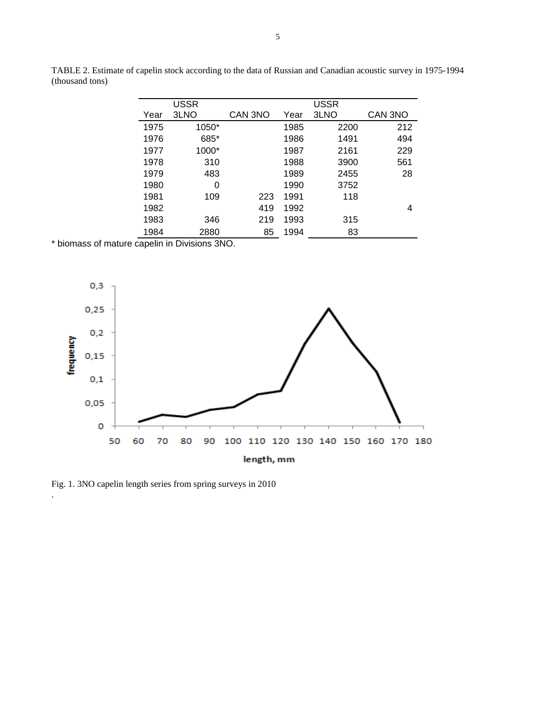|      | USSR  |         |      | <b>USSR</b> |         |
|------|-------|---------|------|-------------|---------|
| Year | 3LNO  | CAN 3NO | Year | 3LNO        | CAN 3NO |
| 1975 | 1050* |         | 1985 | 2200        | 212     |
| 1976 | 685*  |         | 1986 | 1491        | 494     |
| 1977 | 1000* |         | 1987 | 2161        | 229     |
| 1978 | 310   |         | 1988 | 3900        | 561     |
| 1979 | 483   |         | 1989 | 2455        | 28      |
| 1980 | 0     |         | 1990 | 3752        |         |
| 1981 | 109   | 223     | 1991 | 118         |         |
| 1982 |       | 419     | 1992 |             | 4       |
| 1983 | 346   | 219     | 1993 | 315         |         |
| 1984 | 2880  | 85      | 1994 | 83          |         |
|      |       |         |      |             |         |

TABLE 2. Estimate of capelin stock according to the data of Russian and Canadian acoustic survey in 1975-1994 (thousand tons)

\* biomass of mature capelin in Divisions 3NO.



Fig. 1. 3NO capelin length series from spring surveys in 2010

.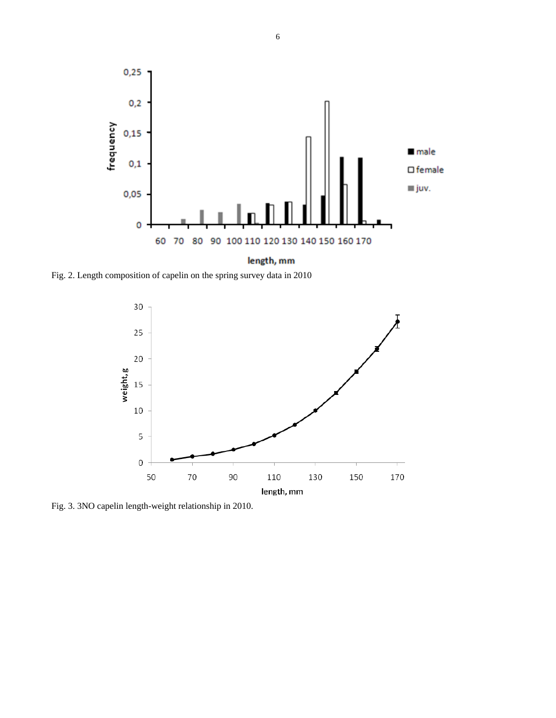

Fig. 2. Length composition of capelin on the spring survey data in 2010



Fig. 3. 3NO capelin length-weight relationship in 2010.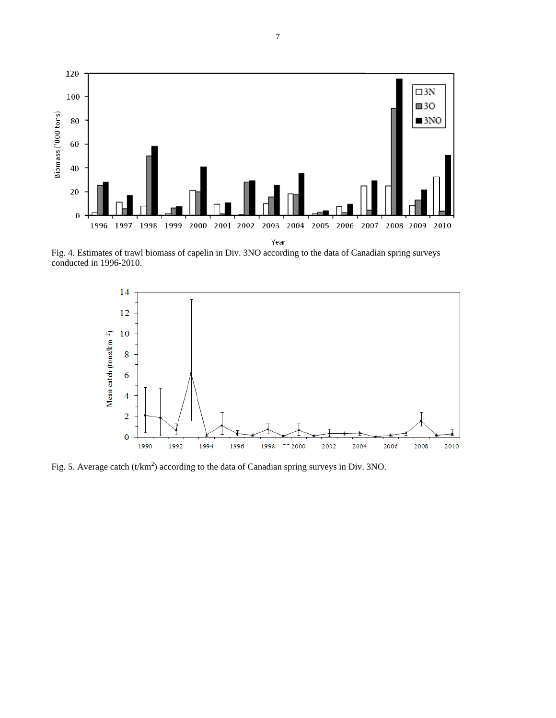

Fig. 4. Estimates of trawl biomass of capelin in Div. 3NO according to the data of Canadian spring surveys conducted in 1996-2010.



Fig. 5. Average catch  $(t/km^2)$  according to the data of Canadian spring surveys in Div. 3NO.